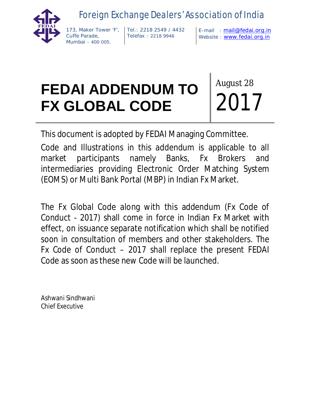Foreign Exchange Dealers' Association of India



173, Maker Tower 'F', Cuffe Parade, Mumbai - 400 005.

Tel.: 2218 2549 / 4432 Telefax : 2218 9946

E-mail : mail@fedai.org.in Website : www.fedai.org.in

# **FEDAI ADDENDUM TO FX GLOBAL CODE**

August 28 2017

This document is adopted by FEDAI Managing Committee.

Code and Illustrations in this addendum is applicable to all market participants namely Banks, Fx Brokers and intermediaries providing Electronic Order Matching System (EOMS) or Multi Bank Portal (MBP) in Indian Fx Market.

The Fx Global Code along with this addendum (Fx Code of Conduct - 2017) shall come in force in Indian Fx Market with effect, on issuance separate notification which shall be notified soon in consultation of members and other stakeholders. The Fx Code of Conduct – 2017 shall replace the present FEDAI Code as soon as these new Code will be launched.

Ashwani Sindhwani Chief Executive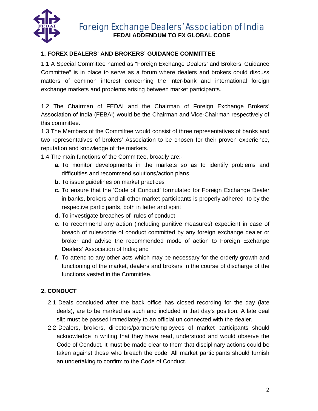

# **1. FOREX DEALERS' AND BROKERS' GUIDANCE COMMITTEE**

1.1 A Special Committee named as "Foreign Exchange Dealers' and Brokers' Guidance Committee" is in place to serve as a forum where dealers and brokers could discuss matters of common interest concerning the inter-bank and international foreign exchange markets and problems arising between market participants.

1.2 The Chairman of FEDAI and the Chairman of Foreign Exchange Brokers' Association of India (FEBAI) would be the Chairman and Vice-Chairman respectively of this committee.

1.3 The Members of the Committee would consist of three representatives of banks and two representatives of brokers' Association to be chosen for their proven experience, reputation and knowledge of the markets.

1.4 The main functions of the Committee, broadly are:-

- **a.** To monitor developments in the markets so as to identify problems and difficulties and recommend solutions/action plans
- **b.** To issue guidelines on market practices
- **c.** To ensure that the 'Code of Conduct' formulated for Foreign Exchange Dealer in banks, brokers and all other market participants is properly adhered to by the respective participants, both in letter and spirit
- **d.** To investigate breaches of rules of conduct
- **e.** To recommend any action (including punitive measures) expedient in case of breach of rules/code of conduct committed by any foreign exchange dealer or broker and advise the recommended mode of action to Foreign Exchange Dealers' Association of India; and
- **f.** To attend to any other acts which may be necessary for the orderly growth and functioning of the market, dealers and brokers in the course of discharge of the functions vested in the Committee.

# **2. CONDUCT**

- 2.1 Deals concluded after the back office has closed recording for the day (late deals), are to be marked as such and included in that day's position. A late deal slip must be passed immediately to an official un connected with the dealer.
- 2.2 Dealers, brokers, directors/partners/employees of market participants should acknowledge in writing that they have read, understood and would observe the Code of Conduct. It must be made clear to them that disciplinary actions could be taken against those who breach the code. All market participants should furnish an undertaking to confirm to the Code of Conduct.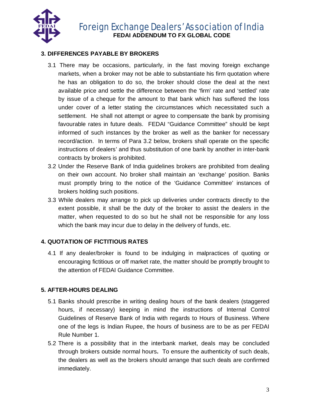

# **3. DIFFERENCES PAYABLE BY BROKERS**

- 3.1 There may be occasions, particularly, in the fast moving foreign exchange markets, when a broker may not be able to substantiate his firm quotation where he has an obligation to do so, the broker should close the deal at the next available price and settle the difference between the 'firm' rate and 'settled' rate by issue of a cheque for the amount to that bank which has suffered the loss under cover of a letter stating the circumstances which necessitated such a settlement. He shall not attempt or agree to compensate the bank by promising favourable rates in future deals. FEDAI "Guidance Committee" should be kept informed of such instances by the broker as well as the banker for necessary record/action. In terms of Para 3.2 below, brokers shall operate on the specific instructions of dealers' and thus substitution of one bank by another in inter-bank contracts by brokers is prohibited.
- 3.2 Under the Reserve Bank of India guidelines brokers are prohibited from dealing on their own account. No broker shall maintain an 'exchange' position. Banks must promptly bring to the notice of the 'Guidance Committee' instances of brokers holding such positions.
- 3.3 While dealers may arrange to pick up deliveries under contracts directly to the extent possible, it shall be the duty of the broker to assist the dealers in the matter, when requested to do so but he shall not be responsible for any loss which the bank may incur due to delay in the delivery of funds, etc.

# **4. QUOTATION OF FICTITIOUS RATES**

4.1 If any dealer/broker is found to be indulging in malpractices of quoting or encouraging fictitious or off market rate, the matter should be promptly brought to the attention of FEDAI Guidance Committee.

## **5. AFTER-HOURS DEALING**

- 5.1 Banks should prescribe in writing dealing hours of the bank dealers (staggered hours, if necessary) keeping in mind the instructions of Internal Control Guidelines of Reserve Bank of India with regards to Hours of Business. Where one of the legs is Indian Rupee, the hours of business are to be as per FEDAI Rule Number 1.
- 5.2 There is a possibility that in the interbank market, deals may be concluded through brokers outside normal hours**.** To ensure the authenticity of such deals, the dealers as well as the brokers should arrange that such deals are confirmed immediately.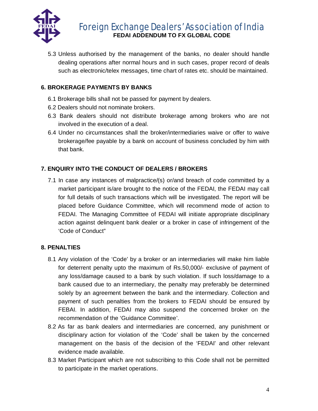

# Foreign Exchange Dealers' Association of India **FEDAI ADDENDUM TO FX GLOBAL CODE**

5.3 Unless authorised by the management of the banks, no dealer should handle dealing operations after normal hours and in such cases, proper record of deals such as electronic/telex messages, time chart of rates etc. should be maintained.

## **6. BROKERAGE PAYMENTS BY BANKS**

- 6.1 Brokerage bills shall not be passed for payment by dealers.
- 6.2 Dealers should not nominate brokers.
- 6.3 Bank dealers should not distribute brokerage among brokers who are not involved in the execution of a deal.
- 6.4 Under no circumstances shall the broker/intermediaries waive or offer to waive brokerage/fee payable by a bank on account of business concluded by him with that bank.

## **7. ENQUIRY INTO THE CONDUCT OF DEALERS / BROKERS**

7.1 In case any instances of malpractice/(s) or/and breach of code committed by a market participant is/are brought to the notice of the FEDAI, the FEDAI may call for full details of such transactions which will be investigated. The report will be placed before Guidance Committee, which will recommend mode of action to FEDAI. The Managing Committee of FEDAI will initiate appropriate disciplinary action against delinquent bank dealer or a broker in case of infringement of the 'Code of Conduct"

## **8. PENALTIES**

- 8.1 Any violation of the 'Code' by a broker or an intermediaries will make him liable for deterrent penalty upto the maximum of Rs.50,000/- exclusive of payment of any loss/damage caused to a bank by such violation. If such loss/damage to a bank caused due to an intermediary, the penalty may preferably be determined solely by an agreement between the bank and the intermediary. Collection and payment of such penalties from the brokers to FEDAI should be ensured by FEBAI. In addition, FEDAI may also suspend the concerned broker on the recommendation of the 'Guidance Committee'.
- 8.2 As far as bank dealers and intermediaries are concerned, any punishment or disciplinary action for violation of the 'Code' shall be taken by the concerned management on the basis of the decision of the 'FEDAI' and other relevant evidence made available.
- 8.3 Market Participant which are not subscribing to this Code shall not be permitted to participate in the market operations.